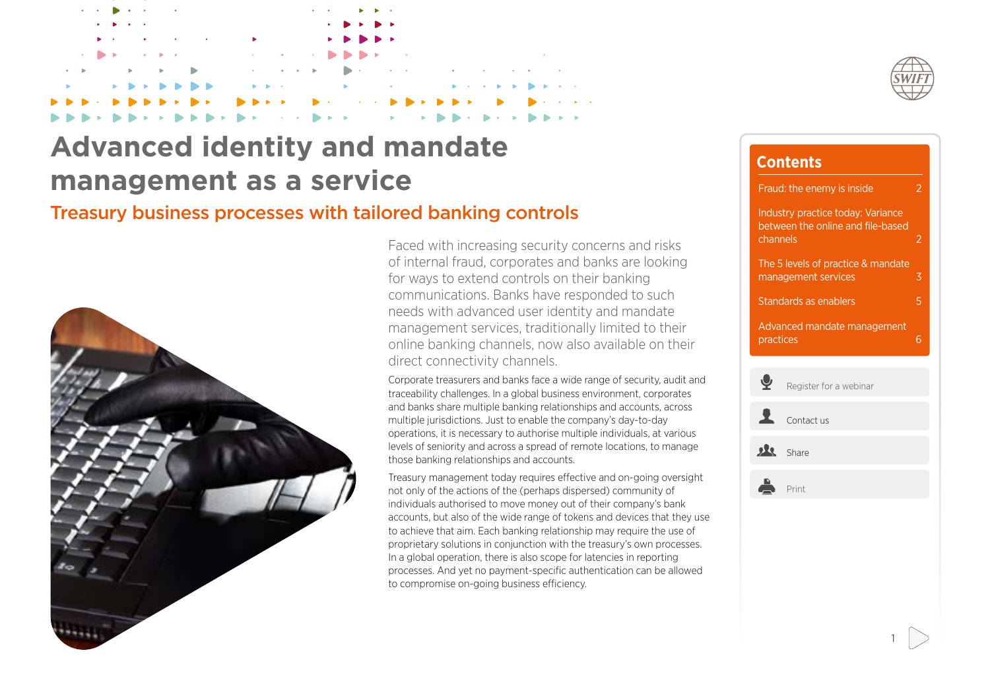## **Advanced identity and mandate management as a service**

## Treasury business processes with tailored banking controls



Faced with increasing security concerns and risks of internal fraud, corporates and banks are looking for ways to extend controls on their banking communications. Banks have responded to such needs with advanced user identity and mandate management services, traditionally limited to their online banking channels, now also available on their direct connectivity channels.

Corporate treasurers and banks face a wide range of security, audit and traceability challenges. In a global business environment, corporates and banks share multiple banking relationships and accounts, across multiple jurisdictions. Just to enable the company's day-to-day operations, it is necessary to authorise multiple individuals, at various levels of seniority and across a spread of remote locations, to manage those banking relationships and accounts.

Treasury management today requires effective and on-going oversight not only of the actions of the (perhaps dispersed) community of individuals authorised to move money out of their company's bank accounts, but also of the wide range of tokens and devices that they use to achieve that aim. Each banking relationship may require the use of proprietary solutions in conjunction with the treasury's own processes. In a global operation, there is also scope for latencies in reporting processes. And yet no payment-specific authentication can be allowed to compromise on-going business efficiency.



| <b>Contents</b>                                                                    |                        |                |
|------------------------------------------------------------------------------------|------------------------|----------------|
| Fraud: the enemy is inside                                                         |                        | 2              |
| Industry practice today: Variance<br>between the online and file-based<br>channels |                        | $\overline{2}$ |
| The 5 levels of practice & mandate<br>management services                          |                        | 3              |
| Standards as enablers                                                              |                        | 5              |
| Advanced mandate management<br>practices                                           |                        | 6              |
|                                                                                    |                        |                |
| 오                                                                                  | Register for a webinar |                |
| 1                                                                                  | Contact us             |                |
| 八                                                                                  | Share                  |                |
|                                                                                    | Print                  |                |
|                                                                                    |                        |                |
|                                                                                    |                        |                |
|                                                                                    |                        |                |
|                                                                                    |                        |                |
|                                                                                    |                        |                |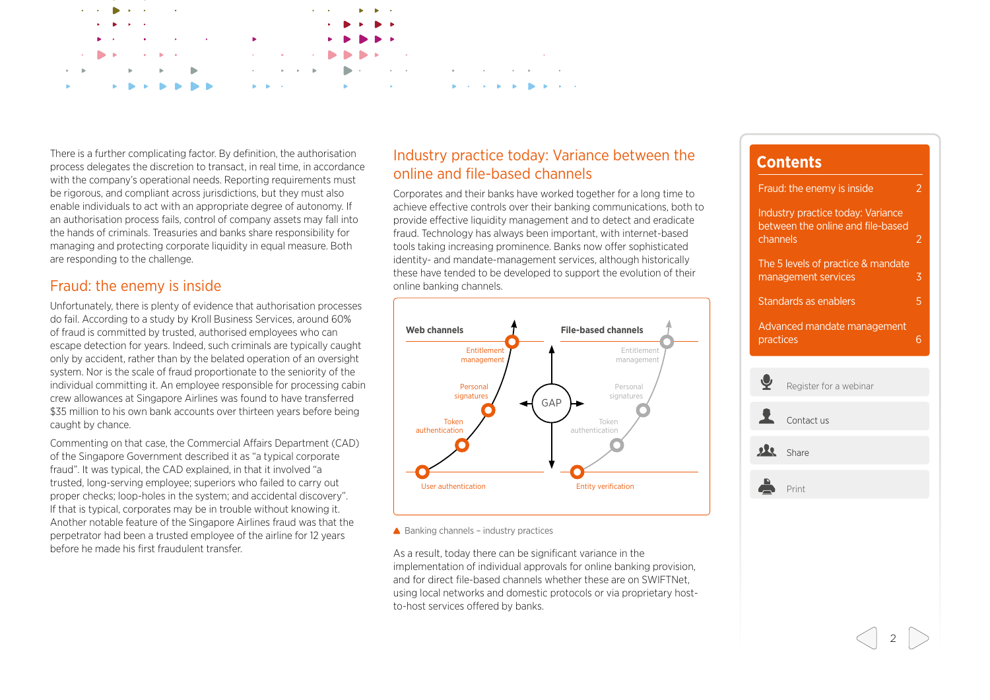<span id="page-1-0"></span>

There is a further complicating factor. By definition, the authorisation process delegates the discretion to transact, in real time, in accordance with the company's operational needs. Reporting requirements must be rigorous, and compliant across jurisdictions, but they must also enable individuals to act with an appropriate degree of autonomy. If an authorisation process fails, control of company assets may fall into the hands of criminals. Treasuries and banks share responsibility for managing and protecting corporate liquidity in equal measure. Both are responding to the challenge.

### Fraud: the enemy is inside

Unfortunately, there is plenty of evidence that authorisation processes do fail. According to a study by Kroll Business Services, around 60% of fraud is committed by trusted, authorised employees who can escape detection for years. Indeed, such criminals are typically caught only by accident, rather than by the belated operation of an oversight system. Nor is the scale of fraud proportionate to the seniority of the individual committing it. An employee responsible for processing cabin crew allowances at Singapore Airlines was found to have transferred \$35 million to his own bank accounts over thirteen years before being caught by chance.

Commenting on that case, the Commercial Affairs Department (CAD) of the Singapore Government described it as "a typical corporate fraud". It was typical, the CAD explained, in that it involved "a trusted, long-serving employee; superiors who failed to carry out proper checks; loop-holes in the system; and accidental discovery". If that is typical, corporates may be in trouble without knowing it. Another notable feature of the Singapore Airlines fraud was that the perpetrator had been a trusted employee of the airline for 12 years before he made his first fraudulent transfer.

### Industry practice today: Variance between the online and file-based channels

Corporates and their banks have worked together for a long time to achieve effective controls over their banking communications, both to provide effective liquidity management and to detect and eradicate fraud. Technology has always been important, with internet-based tools taking increasing prominence. Banks now offer sophisticated identity- and mandate-management services, although historically these have tended to be developed to support the evolution of their online banking channels.



 $\triangle$  Banking channels – industry practices

As a result, today there can be significant variance in the implementation of individual approvals for online banking provision, and for direct file-based channels whether these are on SWIFTNet using local networks and domestic protocols or via proprietary hostto-host services offered by banks.

# **Contents** Fraud: the enemy is inside 2 Industry practice today: Variance between the online and file-based channels 2 [The 5 levels of practice & mandate](#page-2-0)  [management services](#page-2-0) 3 [Standards as enablers](#page-4-0) **5** [Advanced mandate management](#page-5-0)  [practices](#page-5-0) 6 [Register for a webinar](mailto:swiftforcorporates@swift.com?subject=mandate_management_webinar_registration) [Contact us](mailto:swiftforcorporates@swift.com?subject=mandate_management_know_more) share Å Print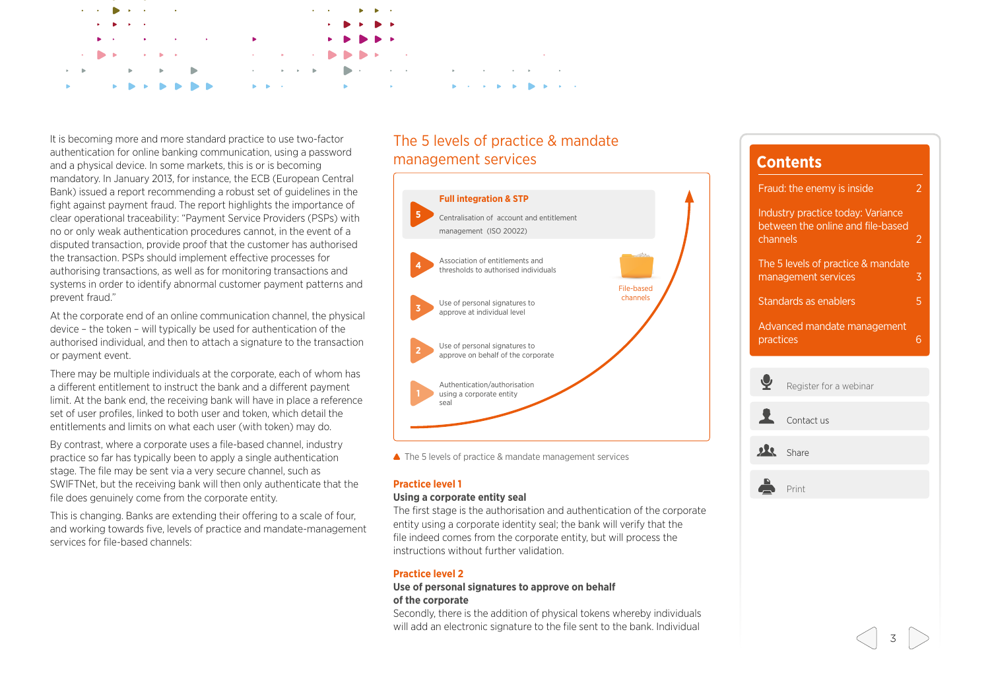<span id="page-2-0"></span>

It is becoming more and more standard practice to use two-factor authentication for online banking communication, using a password and a physical device. In some markets, this is or is becoming mandatory. In January 2013, for instance, the ECB (European Central Bank) issued a report recommending a robust set of guidelines in the fight against payment fraud. The report highlights the importance of clear operational traceability: "Payment Service Providers (PSPs) with no or only weak authentication procedures cannot, in the event of a disputed transaction, provide proof that the customer has authorised the transaction. PSPs should implement effective processes for authorising transactions, as well as for monitoring transactions and systems in order to identify abnormal customer payment patterns and prevent fraud."

At the corporate end of an online communication channel, the physical device – the token – will typically be used for authentication of the authorised individual, and then to attach a signature to the transaction or payment event.

There may be multiple individuals at the corporate, each of whom has a different entitlement to instruct the bank and a different payment limit. At the bank end, the receiving bank will have in place a reference set of user profiles, linked to both user and token, which detail the entitlements and limits on what each user (with token) may do.

By contrast, where a corporate uses a file-based channel, industry practice so far has typically been to apply a single authentication stage. The file may be sent via a very secure channel, such as SWIFTNet, but the receiving bank will then only authenticate that the file does genuinely come from the corporate entity.

This is changing. Banks are extending their offering to a scale of four, and working towards five, levels of practice and mandate-management services for file-based channels:

## The 5 levels of practice & mandate management services



▲ The 5 levels of practice & mandate management services

#### **Practice level 1**

#### **Using a corporate entity seal**

The first stage is the authorisation and authentication of the corporate entity using a corporate identity seal; the bank will verify that the file indeed comes from the corporate entity, but will process the instructions without further validation.

#### **Practice level 2**

#### **Use of personal signatures to approve on behalf of the corporate**

Secondly, there is the addition of physical tokens whereby individuals will add an electronic signature to the file sent to the bank. Individual

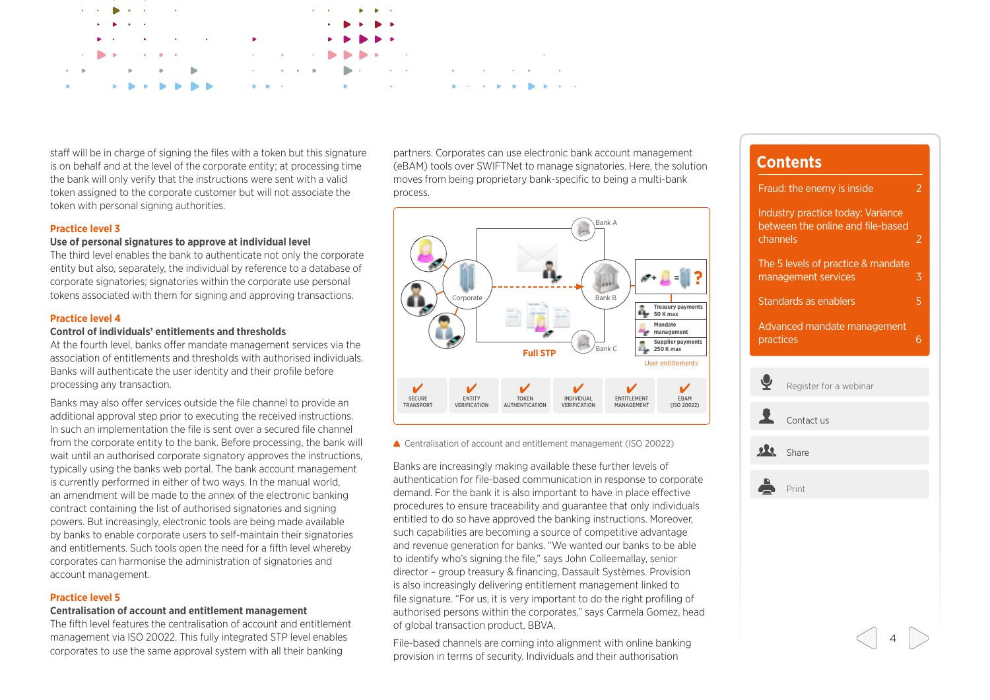

staff will be in charge of signing the files with a token but this signature is on behalf and at the level of the corporate entity; at processing time the bank will only verify that the instructions were sent with a valid token assigned to the corporate customer but will not associate the token with personal signing authorities.

#### **Practice level 3**

#### **Use of personal signatures to approve at individual level**

The third level enables the bank to authenticate not only the corporate entity but also, separately, the individual by reference to a database of corporate signatories; signatories within the corporate use personal tokens associated with them for signing and approving transactions.

#### **Practice level 4**

#### **Control of individuals' entitlements and thresholds**

At the fourth level, banks offer mandate management services via the association of entitlements and thresholds with authorised individuals. Banks will authenticate the user identity and their profile before processing any transaction.

Banks may also offer services outside the file channel to provide an additional approval step prior to executing the received instructions. In such an implementation the file is sent over a secured file channel from the corporate entity to the bank. Before processing, the bank will wait until an authorised corporate signatory approves the instructions, typically using the banks web portal. The bank account management is currently performed in either of two ways. In the manual world, an amendment will be made to the annex of the electronic banking contract containing the list of authorised signatories and signing powers. But increasingly, electronic tools are being made available by banks to enable corporate users to self-maintain their signatories and entitlements. Such tools open the need for a fifth level whereby corporates can harmonise the administration of signatories and account management.

### **Practice level 5**

#### **Centralisation of account and entitlement management**

The fifth level features the centralisation of account and entitlement management via ISO 20022. This fully integrated STP level enables corporates to use the same approval system with all their banking

partners. Corporates can use electronic bank account management (eBAM) tools over SWIFTNet to manage signatories. Here, the solution moves from being proprietary bank-specific to being a multi-bank process.



▲ Centralisation of account and entitlement management (ISO 20022)

Banks are increasingly making available these further levels of authentication for file-based communication in response to corporate demand. For the bank it is also important to have in place effective procedures to ensure traceability and guarantee that only individuals entitled to do so have approved the banking instructions. Moreover, such capabilities are becoming a source of competitive advantage and revenue generation for banks. "We wanted our banks to be able to identify who's signing the file," says John Colleemallay, senior director – group treasury & financing, Dassault Systèmes. Provision is also increasingly delivering entitlement management linked to file signature. "For us, it is very important to do the right profiling of authorised persons within the corporates," says Carmela Gomez, head of global transaction product, BBVA.

File-based channels are coming into alignment with online banking provision in terms of security. Individuals and their authorisation

## **Contents** [Fraud: the enemy is inside](#page-1-0) 2 [Industry practice today: Variance](#page-1-0)  [between the online and file-based](#page-1-0)  [channels](#page-1-0) 2

[The 5 levels of practice & mandate](#page-2-0)  [management services](#page-2-0) 3 [Standards as enablers](#page-4-0) **5** 

[Advanced mandate management](#page-5-0)  [practices](#page-5-0) 6

[Register for a webinar](mailto:swiftforcorporates@swift.com?subject=mandate_management_webinar_registration) [Contact us](mailto:swiftforcorporates@swift.com?subject=mandate_management_know_more) share Print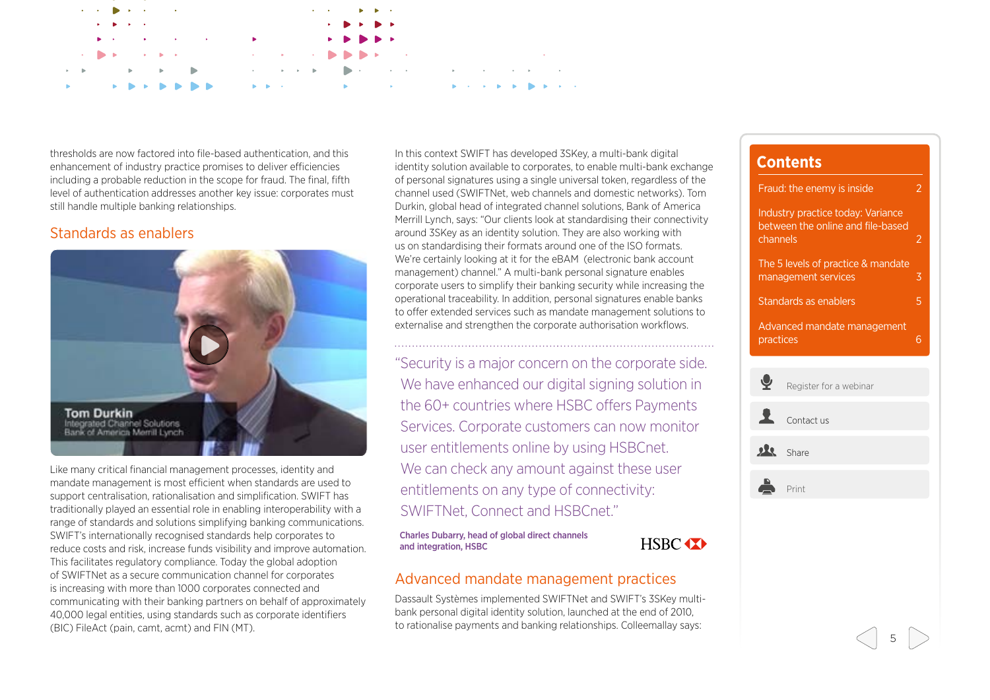<span id="page-4-0"></span>

thresholds are now factored into file-based authentication, and this enhancement of industry practice promises to deliver efficiencies including a probable reduction in the scope for fraud. The final, fifth level of authentication addresses another key issue: corporates must still handle multiple banking relationships.

### Standards as enablers



Like many critical financial management processes, identity and mandate management is most efficient when standards are used to support centralisation, rationalisation and simplification. SWIFT has traditionally played an essential role in enabling interoperability with a range of standards and solutions simplifying banking communications. SWIFT's internationally recognised standards help corporates to reduce costs and risk, increase funds visibility and improve automation. This facilitates regulatory compliance. Today the global adoption of SWIFTNet as a secure communication channel for corporates is increasing with more than 1000 corporates connected and communicating with their banking partners on behalf of approximately 40,000 legal entities, using standards such as corporate identifiers (BIC) FileAct (pain, camt, acmt) and FIN (MT).

In this context SWIFT has developed 3SKey, a multi-bank digital identity solution available to corporates, to enable multi-bank exchange of personal signatures using a single universal token, regardless of the channel used (SWIFTNet, web channels and domestic networks). Tom Durkin, global head of integrated channel solutions, Bank of America Merrill Lynch, says: "Our clients look at standardising their connectivity around 3SKey as an identity solution. They are also working with us on standardising their formats around one of the ISO formats. We're certainly looking at it for the eBAM (electronic bank account management) channel." A multi-bank personal signature enables corporate users to simplify their banking security while increasing the operational traceability. In addition, personal signatures enable banks to offer extended services such as mandate management solutions to externalise and strengthen the corporate authorisation workflows.

"Security is a major concern on the corporate side. We have enhanced our digital signing solution in the 60+ countries where HSBC offers Payments Services. Corporate customers can now monitor user entitlements online by using HSBCnet. We can check any amount against these user entitlements on any type of connectivity: SWIFTNet, Connect and HSBCnet."

Charles Dubarry, head of global direct channels and integration, HSBC

HSBC **XX** 

## **Contents** [Fraud: the enemy is inside](#page-1-0) 2 [Industry practice today: Variance](#page-1-0)  [between the online and file-based](#page-1-0)  [channels](#page-1-0) 2 [The 5 levels of practice & mandate](#page-2-0)  [management services](#page-2-0) 3 Standards as enablers **5** [Advanced mandate management](#page-5-0)  [practices](#page-5-0) 6  $\tilde{\bm{\delta}}$ [Register for a webinar](mailto:swiftforcorporates@swift.com?subject=mandate_management_webinar_registration) [Contact us](mailto:swiftforcorporates@swift.com?subject=mandate_management_know_more) **[Share](http://www.linkedin.com/groups?home=&gid=4351117&trk=anet_ug_hm)** Print

## Advanced mandate management practices

Dassault Systèmes implemented SWIFTNet and SWIFT's 3SKey multibank personal digital identity solution, launched at the end of 2010, to rationalise payments and banking relationships. Colleemallay says: